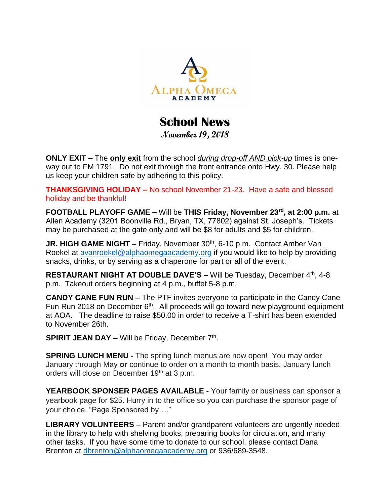

## **School News**

**November 19, 2018**

**ONLY EXIT –** The **only exit** from the school *during drop-off AND pick-up* times is oneway out to FM 1791. Do not exit through the front entrance onto Hwy. 30. Please help us keep your children safe by adhering to this policy.

**THANKSGIVING HOLIDAY –** No school November 21-23. Have a safe and blessed holiday and be thankful!

**FOOTBALL PLAYOFF GAME –** Will be **THIS Friday, November 23rd, at 2:00 p.m.** at Allen Academy (3201 Boonville Rd., Bryan, TX, 77802) against St. Joseph's. Tickets may be purchased at the gate only and will be \$8 for adults and \$5 for children.

**JR. HIGH GAME NIGHT –** Friday, November 30<sup>th</sup>, 6-10 p.m. Contact Amber Van Roekel at [avanroekel@alphaomegaacademy.org](mailto:avanroekel@alphaomegaacademy.org) if you would like to help by providing snacks, drinks, or by serving as a chaperone for part or all of the event.

**RESTAURANT NIGHT AT DOUBLE DAVE'S – Will be Tuesday, December 4<sup>th</sup>, 4-8** p.m. Takeout orders beginning at 4 p.m., buffet 5-8 p.m.

**CANDY CANE FUN RUN –** The PTF invites everyone to participate in the Candy Cane Fun Run 2018 on December 6<sup>th</sup>. All proceeds will go toward new playground equipment at AOA. The deadline to raise \$50.00 in order to receive a T-shirt has been extended to November 26th.

**SPIRIT JEAN DAY - Will be Friday, December 7<sup>th</sup>.** 

**SPRING LUNCH MENU -** The spring lunch menus are now open! You may order January through May **or** continue to order on a month to month basis. January lunch orders will close on December 19<sup>th</sup> at 3 p.m.

**YEARBOOK SPONSER PAGES AVAILABLE -** Your family or business can sponsor a yearbook page for \$25. Hurry in to the office so you can purchase the sponsor page of your choice. "Page Sponsored by…."

**LIBRARY VOLUNTEERS –** Parent and/or grandparent volunteers are urgently needed in the library to help with shelving books, preparing books for circulation, and many other tasks. If you have some time to donate to our school, please contact Dana Brenton at [dbrenton@alphaomegaacademy.org](mailto:dbrenton@alphaomegaacademy.org) or 936/689-3548.